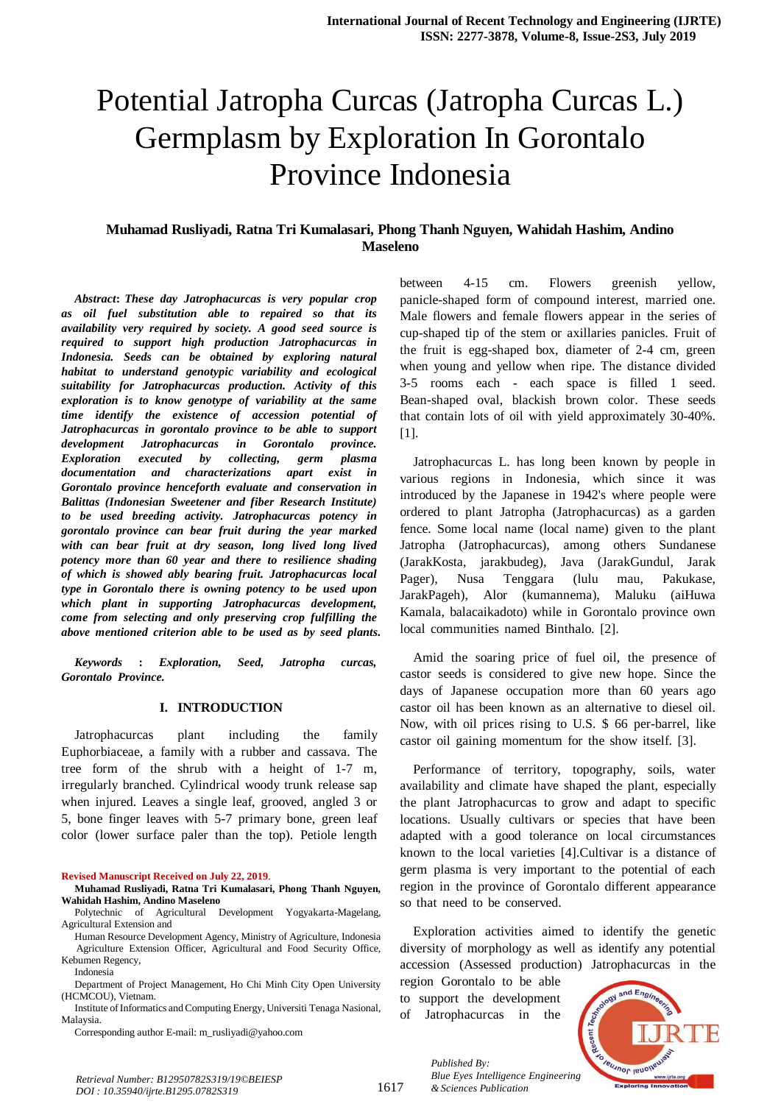# Potential Jatropha Curcas (Jatropha Curcas L.) Germplasm by Exploration In Gorontalo Province Indonesia

# **Muhamad Rusliyadi, Ratna Tri Kumalasari, Phong Thanh Nguyen, Wahidah Hashim, Andino Maseleno**

*Abstract: These day Jatrophacurcas is very popular crop asoil fuel substitution able to repaired so that its availability very required by society. A good seed source is required* to support high production Jatrophacurcas in *Indonesia. Seeds can be obtained by exploring natural habitat to understand genotypic variability and ecological suitability for Jatrophacurcas production.* Activity *of this exploration is to know genotype of variability at the same time identify the existence of accession potential of Jatrophacurcas in* gorontalo province to be able to support *development Jatrophacurcas in Gorontalo province. Exploration executed by collecting, germ plasma documentation* and *characterizations* apart exist in *Gorontalo province henceforth evaluate and conservation in Balittas* (*Indonesian Sweetener and fiber Research Institute*) *to be used breeding activity. Jatrophacurcas potency <i>in*  $for$  *ato province can bear fruit during the year marked with* can bear fruit at dry season, long lived long lived *potency more than* 60 year and *there to resilience shading of* which is showed ably bearing fruit. Jatrophacurcas local *type in Gorontalo there is owning potency to be used upon which* plant in supporting Jatrophacurcas development, *come* from selecting and only preserving crop fulfilling the *above* mentioned criterion able to be used as by seed plants.

*Keywords* : *Exploration, Seed, Jatropha curcas,*  $G$ *orontalo Province*.

#### **I. INTRODUCTION**

Jatrophacurcas plant including the family Euphorbiaceae, a family with a rubber and cassava. The tree form of the shrub with a height of  $1-7$  m, irregularly branched. Cylindrical woody trunk release sap when injured. Leaves a single leaf, grooved, angled 3 or 5, bone finger leaves with 5-7 primary bone, green leaf color (lower surface paler than the top). Petiole length

**Revised Manuscript Received on July 22, 2019**.

Human Resource Development Agency, Ministry of Agriculture, Indonesia Agriculture Extension Officer, Agricultural and Food Security Office, Kebumen Regency,

Indonesia

Department of Project Management, Ho Chi Minh City Open University (HCMCOU), Vietnam.

Institute of Informatics and Computing Energy, Universiti Tenaga Nasional, Malaysia.

Corresponding author E-mail: m\_rusliyadi@yahoo.com

between 4-15 cm. Flowers greenish vellow, panicle-shaped form of compound interest, married one. Male flowers and female flowers appear in the series of cup-shaped tip of the stem or axillaries panicles. Fruit of the fruit is egg-shaped box, diameter of  $2-4$  cm, green when young and yellow when ripe. The distance divided 3-5 rooms each - each space is filled 1 seed. Bean-shaped oval, blackish brown color. These seeds that contain lots of oil with yield approximately 30-40%. [1].

Jatrophacurcas L. has long been known by people in various regions in Indonesia, which since it was introduced by the Japanese in 1942's where people were ordered to plant Jatropha (Jatrophacurcas) as a garden fence. Some local name (local name) given to the plant Jatropha (Jatrophacurcas), among others Sundanese (JarakKosta, jarakbudeg), Java (JarakGundul, Jarak Pager), Nusa Tenggara (lulu mau, Pakukase, JarakPageh), Alor (kumannema), Maluku (aiHuwa Kamala, balacaikadoto) while in Gorontalo province own local communities named Binthalo. [2].

Amid the soaring price of fuel oil, the presence of castor seeds is considered to give new hope. Since the days of Japanese occupation more than 60 years ago castor oil has been known as an alternative to diesel oil. Now, with oil prices rising to U.S. \$ 66 per-barrel, like castor oil gaining momentum for the show itself.  $[3]$ .

Performance of territory, topography, soils, water availability and climate have shaped the plant, especially the plant Jatrophacurcas to grow and adapt to specific locations. Usually cultivars or species that have been adapted with a good tolerance on local circumstances known to the local varieties [4].Cultivar is a distance of germ plasma is very important to the potential of each region in the province of Gorontalo different appearance so that need to be conserved.

Exploration activities aimed to identify the genetic diversity of morphology as well as identify any potential accession (Assessed production) Jatrophacurcas in the

region Gorontalo to be able

to support the development of Jatrophacurcas in the

*& Sciences Publication* 

*Published By:*



*Retrieval Number: B12950782S319/19©BEIESP DOI : 10.35940/ijrte.B1295.0782S319*

**Muhamad Rusliyadi, Ratna Tri Kumalasari, Phong Thanh Nguyen, Wahidah Hashim, Andino Maseleno**

Polytechnic of Agricultural Development Yogyakarta-Magelang, Agricultural Extension and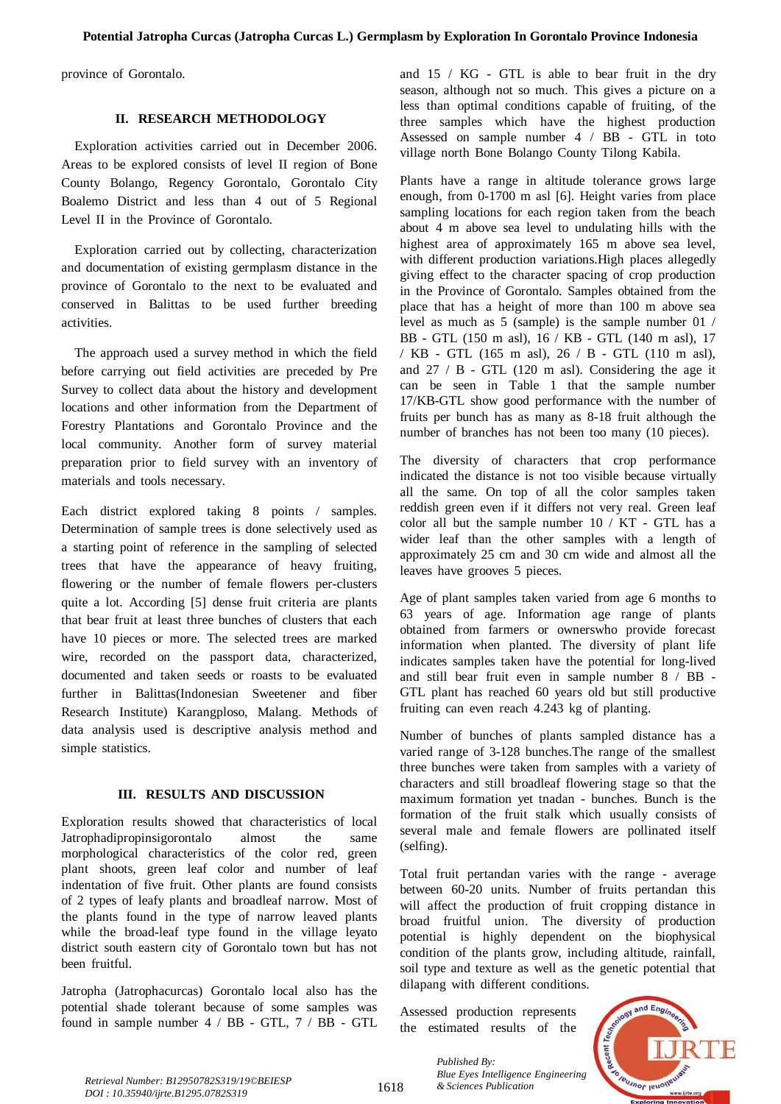province of Gorontalo.

## **II. RESEARCH METHODOLOGY**

Exploration activities carried out in December 2006. Areas to be explored consists of level II region of Bone County Bolango, Regency Gorontalo, Gorontalo City Boalemo District and less than 4 out of 5 Regional Level II in the Province of Gorontalo.

Exploration carried out by collecting, characterization and documentation of existing germplasm distance in the province of Gorontalo to the next to be evaluated and conserved in Balittas to be used further breeding activities.

The approach used a survey method in which the field before carrying out field activities are preceded by Pre Survey to collect data about the history and development locations and other information from the Department of Forestry Plantations and Gorontalo Province and the local community. Another form of survey material preparation prior to field survey with an inventory of materials and tools necessary.

Each district explored taking 8 points  $\ell$  samples. Determination of sample trees is done selectively used as a starting point of reference in the sampling of selected trees that have the appearance of heavy fruiting, flowering or the number of female flowers per-clusters quite a lot. According [5] dense fruit criteria are plants that bear fruit at least three bunches of clusters that each have 10 pieces or more. The selected trees are marked wire, recorded on the passport data, characterized, documented and taken seeds or roasts to be evaluated further in Balittas(Indonesian Sweetener and fiber Research Institute) Karangploso, Malang. Methods of data analysis used is descriptive analysis method and simple statistics.

#### **III. RESULTS** AND **DISCUSSION**

Exploration results showed that characteristics of local Jatrophadipropinsigorontalo almost the same morphological characteristics of the color red, green plant shoots, green leaf color and number of leaf indentation of five fruit. Other plants are found consists of 2 types of leafy plants and broadleaf narrow. Most of the plants found in the type of narrow leaved plants while the broad-leaf type found in the village leyato district south eastern city of Gorontalo town but has not been fruitful.

Jatropha (Jatrophacurcas) Gorontalo local also has the potential shade tolerant because of some samples was found in sample number  $4 / BB - GTL$ ,  $7 / BB - GTL$ 

and  $15 / KG$  - GTL is able to bear fruit in the dry season, although not so much. This gives a picture on a less than optimal conditions capable of fruiting, of the three samples which have the highest production Assessed on sample number  $4 / BB - GTL$  in toto village north Bone Bolango County Tilong Kabila.

Plants have a range in altitude tolerance grows large enough, from  $0-1700$  m asl  $[6]$ . Height varies from place sampling locations for each region taken from the beach about  $4 \text{ m}$  above sea level to undulating hills with the highest area of approximately 165 m above sea level, with different production variations. High places allegedly giving effect to the character spacing of crop production in the Province of Gorontalo. Samples obtained from the place that has a height of more than 100 m above sea level as much as  $\overline{5}$  (sample) is the sample number 01 / BB - GTL (150 m asl), 16 / KB - GTL (140 m asl), 17 / KB - GTL (165 m asl),  $26$  / B - GTL (110 m asl), and  $27 / B$  - GTL (120 m asl). Considering the age it can be seen in Table 1 that the sample number  $17$ /KB-GTL show good performance with the number of fruits per bunch has as many as  $8-18$  fruit although the number of branches has not been too many (10 pieces).

The diversity of characters that crop performance indicated the distance is not too visible because virtually all the same. On top of all the color samples taken reddish green even if it differs not very real. Green leaf color all but the sample number  $10 / KT$  - GTL has a wider leaf than the other samples with a length of approximately 25 cm and 30 cm wide and almost all the leaves have grooves 5 pieces.

Age of plant samples taken varied from age 6 months to  $63$  years of age. Information age range of plants obtained from farmers or ownerswho provide forecast information when planted. The diversity of plant life indicates samples taken have the potential for long-lived and still bear fruit even in sample number  $8 / BB - T$ GTL plant has reached 60 years old but still productive fruiting can even reach  $4.243$  kg of planting.

Number of bunches of plants sampled distance has a varied range of 3-128 bunches. The range of the smallest three bunches were taken from samples with a variety of characters and still broadleaf flowering stage so that the maximum formation yet tnadan - bunches. Bunch is the formation of the fruit stalk which usually consists of several male and female flowers are pollinated itself (selfing).

Total fruit pertandan varies with the range - average between 60-20 units. Number of fruits pertandan this will affect the production of fruit cropping distance in broad fruitful union. The diversity of production potential is highly dependent on the biophysical condition of the plants grow, including altitude, rainfall, soil type and texture as well as the genetic potential that dilapang with different conditions.

Assessed production represents the estimated results of the



*Retrieval Number: B12950782S319/19©BEIESP*<br>1618 *& Sciences Publication DOI : 10.35940/ijrte.B1295.0782S319*

1618

*Published By: Blue Eyes Intelligence Engineering*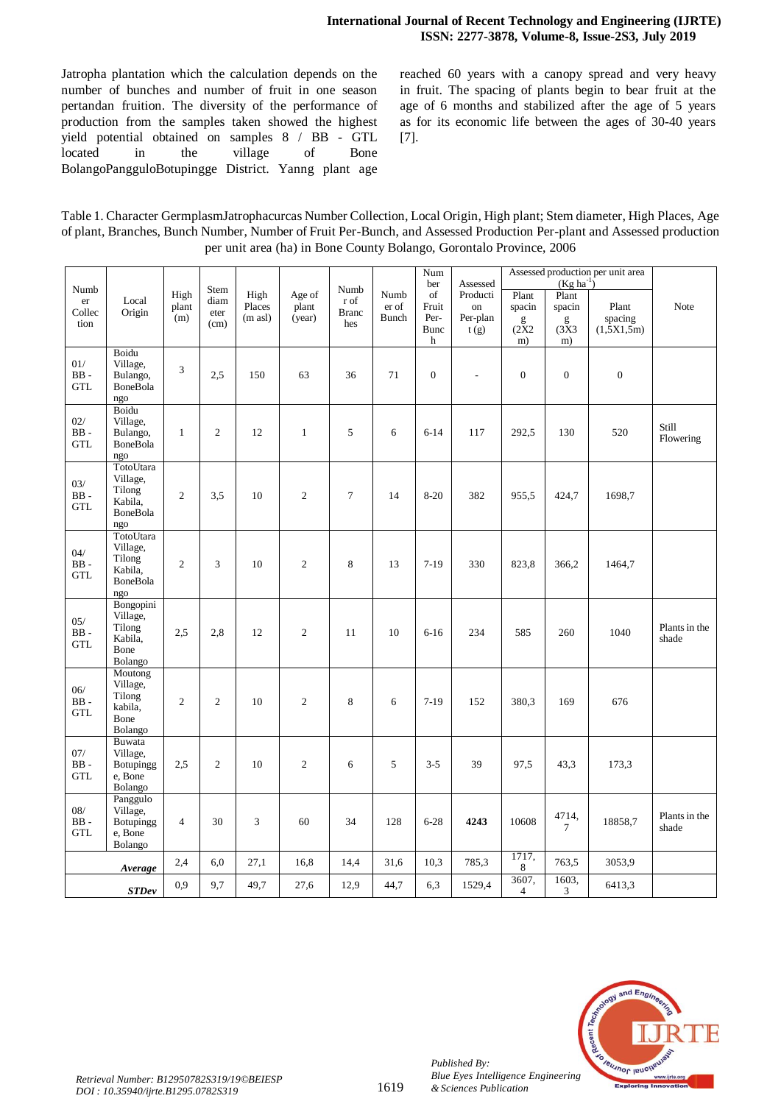Jatropha plantation which the calculation depends on the number of bunches and number of fruit in one season pertandan fruition. The diversity of the performance of production from the samples taken showed the highest yield potential obtained on samples  $8 / BB - GTL$ located in the village of Bone BolangoPangguloBotupingge District. Yanng plant age reached 60 years with a canopy spread and very heavy in fruit. The spacing of plants begin to bear fruit at the age of 6 months and stabilized after the age of 5 years as for its economic life between the ages of 30-40 years [7].

Table 1. Character GermplasmJatrophacurcas Number Collection, Local Origin, High plant; Stem diameter, High Places, Age of plant, Branches, Bunch Number, Number of Fruit Per-Bunch, and Assessed Production Per-plant and Assessed production per unit area (ha) in Bone County Bolango, Gorontalo Province, 2006

|                              |                                                                      |                      |                              |                                       |                           |                                     |                        | Num                                     |                                                          |                                     |                                                       | Assessed production per unit area |                        |
|------------------------------|----------------------------------------------------------------------|----------------------|------------------------------|---------------------------------------|---------------------------|-------------------------------------|------------------------|-----------------------------------------|----------------------------------------------------------|-------------------------------------|-------------------------------------------------------|-----------------------------------|------------------------|
| Numb<br>er<br>Collec<br>tion | Local<br>Origin                                                      | High<br>plant<br>(m) | Stem<br>diam<br>eter<br>(cm) | High<br>Places<br>$(m \text{ as } l)$ | Age of<br>plant<br>(year) | Numb<br>r of<br><b>Branc</b><br>hes | Numb<br>er of<br>Bunch | ber<br>of<br>Fruit<br>Per-<br>Bunc<br>h | Assessed<br>Producti<br>on<br>Per-plan<br>$\tilde{t(g)}$ | Plant<br>spacin<br>g<br>(2X2)<br>m) | $(Kg ha^{-1})$<br>Plant<br>spacin<br>g<br>(3X3)<br>m) | Plant<br>spacing<br>(1,5X1,5m)    | Note                   |
| 01/<br>$BB -$<br><b>GTL</b>  | Boidu<br>Village,<br>Bulango,<br>BoneBola<br>ngo                     | 3                    | 2,5                          | 150                                   | 63                        | 36                                  | 71                     | $\boldsymbol{0}$                        | $\overline{\phantom{a}}$                                 | $\overline{0}$                      | $\overline{0}$                                        | $\mathbf{0}$                      |                        |
| 02/<br>$BB -$<br><b>GTL</b>  | Boidu<br>Village,<br>Bulango,<br><b>BoneBola</b><br>ngo              | $\mathbf{1}$         | $\overline{2}$               | 12                                    | $\mathbf{1}$              | 5                                   | 6                      | $6 - 14$                                | 117                                                      | 292,5                               | 130                                                   | 520                               | Still<br>Flowering     |
| 03/<br>$BB -$<br><b>GTL</b>  | TotoUtara<br>Village,<br>Tilong<br>Kabila,<br><b>BoneBola</b><br>ngo | $\overline{2}$       | 3,5                          | 10                                    | $\overline{2}$            | $\overline{7}$                      | 14                     | $8 - 20$                                | 382                                                      | 955,5                               | 424,7                                                 | 1698,7                            |                        |
| 04/<br>$BB -$<br><b>GTL</b>  | TotoUtara<br>Village,<br>Tilong<br>Kabila,<br><b>BoneBola</b><br>ngo | $\overline{2}$       | 3                            | 10                                    | $\overline{2}$            | 8                                   | 13                     | $7-19$                                  | 330                                                      | 823,8                               | 366,2                                                 | 1464,7                            |                        |
| 05/<br>$BB -$<br><b>GTL</b>  | Bongopini<br>Village,<br>Tilong<br>Kabila,<br>Bone<br>Bolango        | 2.5                  | 2,8                          | 12                                    | $\overline{2}$            | 11                                  | 10                     | $6-16$                                  | 234                                                      | 585                                 | 260                                                   | 1040                              | Plants in the<br>shade |
| 06/<br>$BB -$<br><b>GTL</b>  | Moutong<br>Village,<br>Tilong<br>kabila.<br>Bone<br>Bolango          | $\overline{2}$       | $\overline{2}$               | 10                                    | $\overline{2}$            | 8                                   | 6                      | $7-19$                                  | 152                                                      | 380,3                               | 169                                                   | 676                               |                        |
| 07/<br>$BB -$<br><b>GTL</b>  | <b>Buwata</b><br>Village,<br>Botupingg<br>e, Bone<br>Bolango         | 2.5                  | $\overline{c}$               | 10                                    | $\overline{2}$            | 6                                   | 5                      | $3 - 5$                                 | 39                                                       | 97.5                                | 43.3                                                  | 173,3                             |                        |
| 08/<br>$BB -$<br><b>GTL</b>  | Panggulo<br>Village,<br>Botupingg<br>e, Bone<br>Bolango              | $\overline{4}$       | 30                           | 3                                     | 60                        | 34                                  | 128                    | $6 - 28$                                | 4243                                                     | 10608                               | 4714,<br>$\overline{7}$                               | 18858,7                           | Plants in the<br>shade |
|                              | Average                                                              | 2,4                  | 6,0                          | 27,1                                  | 16,8                      | 14,4                                | 31,6                   | 10,3                                    | 785,3                                                    | 1717,<br>8                          | 763,5                                                 | 3053,9                            |                        |
|                              | <b>STDev</b>                                                         | 0,9                  | 9,7                          | 49,7                                  | 27,6                      | 12,9                                | 44,7                   | 6,3                                     | 1529,4                                                   | 3607,<br>4                          | 1603,<br>3                                            | 6413,3                            |                        |
|                              |                                                                      |                      |                              |                                       |                           |                                     |                        |                                         |                                                          |                                     |                                                       |                                   |                        |



*Published By:*

*& Sciences Publication*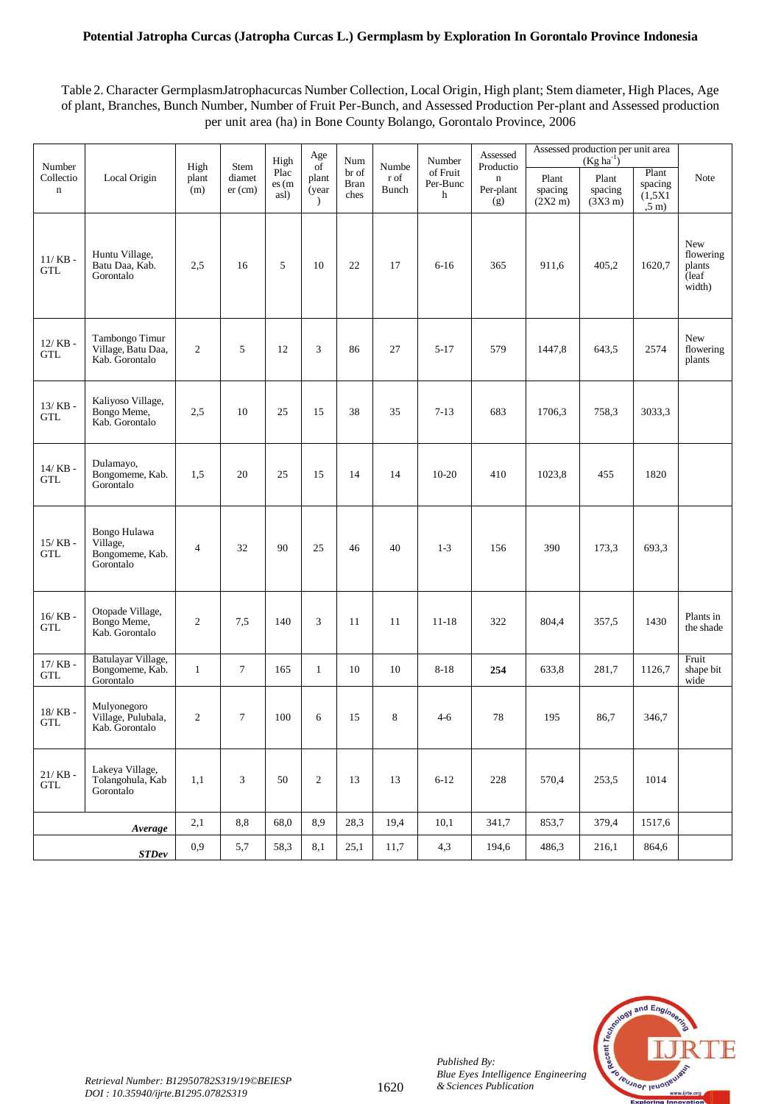# **Potential Jatropha Curcas (Jatropha Curcas L.) Germplasm by Exploration In Gorontalo Province Indonesia**

Table 2. Character GermplasmJatrophacurcas Number Collection, Local Origin, High plant; Stem diameter, High Places, Age of plant, Branches, Bunch Number, Number of Fruit Per-Bunch, and Assessed Production Per-plant and Assessed production per unit area (ha) in Bone County Bolango, Gorontalo Province, 2006

| Number                                      |                                                          | High                                                                        | Stem                | High                  | Age<br>of                       | Num                          | Numbe         | Number                    | Assessed<br>Productio           | Assessed production per unit area |                                       |                                                  |                                                          |
|---------------------------------------------|----------------------------------------------------------|-----------------------------------------------------------------------------|---------------------|-----------------------|---------------------------------|------------------------------|---------------|---------------------------|---------------------------------|-----------------------------------|---------------------------------------|--------------------------------------------------|----------------------------------------------------------|
| Collectio<br>$\mathbf n$                    | Local Origin                                             | plant<br>(m)                                                                | diamet<br>$er$ (cm) | Plac<br>es(m)<br>asl) | plant<br>(year<br>$\mathcal{L}$ | br of<br><b>Bran</b><br>ches | r of<br>Bunch | of Fruit<br>Per-Bunc<br>h | $\mathbf n$<br>Per-plant<br>(g) | Plant<br>spacing<br>(2X2 m)       | Plant<br>spacing<br>$(3X3 \text{ m})$ | Plant<br>spacing<br>(1,5X1)<br>$, 5 \text{ m}$ ) | Note                                                     |
| $11/KB$ -<br><b>GTL</b>                     | Huntu Village,<br>Batu Daa, Kab.<br>Gorontalo            | 2,5                                                                         | 16                  | 5                     | 10                              | 22                           | 17            | $6 - 16$                  | 365                             | 911,6                             | 405,2                                 | 1620,7                                           | <b>New</b><br>flowering<br>plants<br>$\bar{a}$<br>width) |
| $12/KB -$<br>GTL                            | Tambongo Timur<br>Village, Batu Daa,<br>Kab. Gorontalo   | $\overline{2}$                                                              | 5                   | 12                    | 3                               | 86                           | 27            | $5 - 17$                  | 579                             | 1447,8                            | 643,5                                 | 2574                                             | New<br>flowering<br>plants                               |
| $13/$ KB -<br>GTL                           | Kaliyoso Village,<br>Bongo Meme,<br>Kab. Gorontalo       | 2,5                                                                         | 10                  | 25                    | 15                              | 38                           | 35            | $7 - 13$                  | 683                             | 1706,3                            | 758,3                                 | 3033,3                                           |                                                          |
| $14/$ KB -<br><b>GTL</b>                    | Dulamayo,<br>Bongomeme, Kab.<br>Gorontalo                | 1,5                                                                         | 20                  | 25                    | 15                              | 14                           | 14            | $10 - 20$                 | 410                             | 1023,8                            | 455                                   | 1820                                             |                                                          |
| $15/$ KB -<br><b>GTL</b>                    | Bongo Hulawa<br>Village,<br>Bongomeme, Kab.<br>Gorontalo | $\overline{4}$                                                              | 32                  | 90                    | 25                              | 46                           | 40            | $1-3$                     | 156                             | 390                               | 173,3                                 | 693,3                                            |                                                          |
| $16/$ KB $\text{-}$<br>$\operatorname{GTL}$ | Otopade Village,<br>Bongo Meme,<br>Kab. Gorontalo        | $\overline{2}$                                                              | 7,5                 | 140                   | 3                               | 11                           | 11            | $11 - 18$                 | 322                             | 804,4                             | 357,5                                 | 1430                                             | Plants in<br>the shade                                   |
| $17/KB -$<br><b>GTL</b>                     | Batulayar Village,<br>Bongomeme, Kab.<br>Gorontalo       | $\mathbf{1}$                                                                | $\tau$              | 165                   | $\mathbf{1}$                    | 10                           | 10            | $8 - 18$                  | 254                             | 633,8                             | 281,7                                 | 1126,7                                           | Fruit<br>shape bit<br>wide                               |
| $18/$ KB -<br><b>GTL</b>                    | Mulyonegoro<br>Village, Pulubala,<br>Kab. Gorontalo      | $\overline{2}$                                                              | $\tau$              | 100                   | 6                               | 15                           | 8             | $4 - 6$                   | 78                              | 195                               | 86,7                                  | 346,7                                            |                                                          |
| $21/KB -$<br><b>GTL</b>                     | Lakeya Village,<br>Tolangohula, Kab<br>Gorontalo         | 1,1                                                                         | 3                   | 50                    | $\overline{2}$                  | 13                           | 13            | $6 - 12$                  | 228                             | 570,4                             | 253,5                                 | 1014                                             |                                                          |
|                                             | Average                                                  | 2,1                                                                         | $_{\rm 8,8}$        | 68,0                  | 8,9                             | 28,3                         | 19,4          | 10,1                      | 341,7                           | 853,7                             | 379,4                                 | 1517,6                                           |                                                          |
|                                             | STDev                                                    | 0,9<br>58,3<br>8,1<br>5,7<br>25,1<br>11,7<br>4,3<br>194,6<br>486,3<br>216,1 |                     | 864,6                 |                                 |                              |               |                           |                                 |                                   |                                       |                                                  |                                                          |



*Published By:*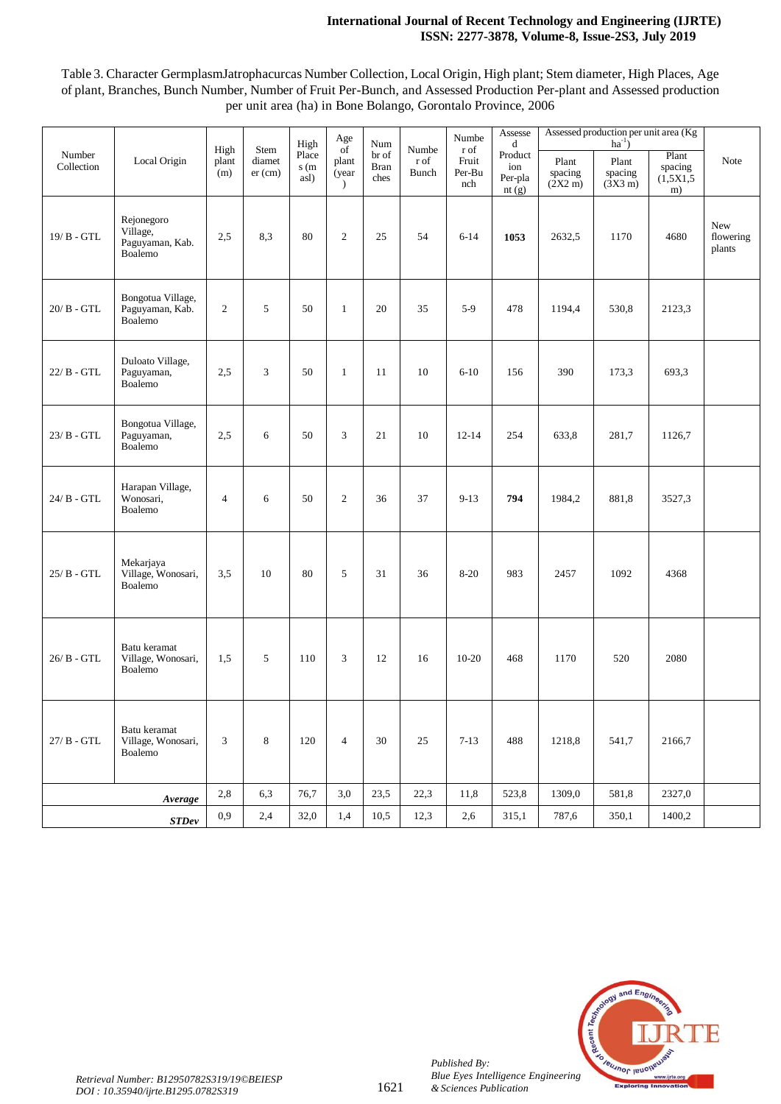## **International Journal of Recent Technology and Engineering (IJRTE) ISSN: 2277-3878, Volume-8, Issue-2S3, July 2019**

Table 3. Character GermplasmJatrophacurcas Number Collection, Local Origin, High plant; Stem diameter, High Places, Age of plant, Branches, Bunch Number, Number of Fruit Per-Bunch, and Assessed Production Per-plant and Assessed production per unit area (ha) in Bone Bolango, Gorontalo Province, 2006

|                      |                                                                                                     |                      |                             | High                  | Age<br>of                       | Num                          |                               | Numbe                          | Assesse<br>d                       | Assessed production per unit area (Kg<br>$ha^{-1}$ ) |                                       |                                     |                            |
|----------------------|-----------------------------------------------------------------------------------------------------|----------------------|-----------------------------|-----------------------|---------------------------------|------------------------------|-------------------------------|--------------------------------|------------------------------------|------------------------------------------------------|---------------------------------------|-------------------------------------|----------------------------|
| Number<br>Collection | Local Origin                                                                                        | High<br>plant<br>(m) | Stem<br>diamet<br>$er$ (cm) | Place<br>s(m)<br>asl) | plant<br>(year<br>$\mathcal{L}$ | br of<br><b>Bran</b><br>ches | Numbe<br>r of<br><b>Bunch</b> | r of<br>Fruit<br>Per-Bu<br>nch | Product<br>ion<br>Per-pla<br>nt(g) | Plant<br>spacing<br>$(2X2 \text{ m})$                | Plant<br>spacing<br>$(3X3 \text{ m})$ | Plant<br>spacing<br>(1,5X1,5)<br>m) | Note                       |
| 19/ B - GTL          | Rejonegoro<br>Village,<br>Paguyaman, Kab.<br>Boalemo                                                | 2,5                  | 8,3                         | 80                    | $\overline{2}$                  | 25                           | 54                            | $6 - 14$                       | 1053                               | 2632,5                                               | 1170                                  | 4680                                | New<br>flowering<br>plants |
| $20/B - GTL$         | Bongotua Village,<br>Paguyaman, Kab.<br>Boalemo                                                     | $\overline{c}$       | 5                           | 50                    | $\mathbf{1}$                    | 20                           | 35                            | $5-9$                          | 478                                | 1194,4                                               | 530,8                                 | 2123,3                              |                            |
| 22/ B - GTL          | Duloato Village,<br>Paguyaman,<br>Boalemo                                                           | 2,5                  | 3                           | 50                    | $\mathbf{1}$                    | 11                           | 10                            | $6 - 10$                       | 156                                | 390                                                  | 173,3                                 | 693,3                               |                            |
| $23/B - GTL$         | Bongotua Village,<br>Paguyaman,<br>Boalemo                                                          | 2,5                  | 6                           | 50                    | 3                               | 21                           | 10                            | $12 - 14$                      | 254                                | 633,8                                                | 281,7                                 | 1126,7                              |                            |
| 24/ B - GTL          | Harapan Village,<br>Wonosari,<br>Boalemo                                                            | $\overline{4}$       | 6                           | 50                    | $\overline{2}$                  | 36                           | 37                            | $9-13$                         | 794                                | 1984,2                                               | 881,8                                 | 3527,3                              |                            |
| $25/B - GTL$         | Mekarjaya<br>Village, Wonosari,<br>Boalemo                                                          | 3,5                  | 10                          | 80                    | 5                               | 31                           | 36                            | $8 - 20$                       | 983                                | 2457                                                 | 1092                                  | 4368                                |                            |
| $26/ B - GTL$        | Batu keramat<br>Village, Wonosari,<br>Boalemo                                                       | 1.5                  | 5                           | 110                   | 3                               | 12                           | 16                            | $10 - 20$                      | 468                                | 1170                                                 | 520                                   | 2080                                |                            |
| $27/B - GTL$         | Batu keramat<br>Village, Wonosari,<br>Boalemo                                                       | 3                    | 8                           | 120                   | $\overline{4}$                  | 30                           | $25\,$                        | $7-13$                         | 488                                | 1218,8                                               | 541,7                                 | 2166,7                              |                            |
|                      | Average                                                                                             | 2,8                  | 6,3                         | 76,7                  | 3,0                             | 23,5                         | 22,3                          | 11,8                           | 523,8                              | 1309,0                                               | 581,8                                 | 2327,0                              |                            |
|                      | 0,9<br>2,4<br>32,0<br>1,4<br>10,5<br>12,3<br>2,6<br>315,1<br>787,6<br>350,1<br>$\boldsymbol{STDev}$ |                      |                             |                       |                                 | 1400,2                       |                               |                                |                                    |                                                      |                                       |                                     |                            |



*Published By:*

*& Sciences Publication*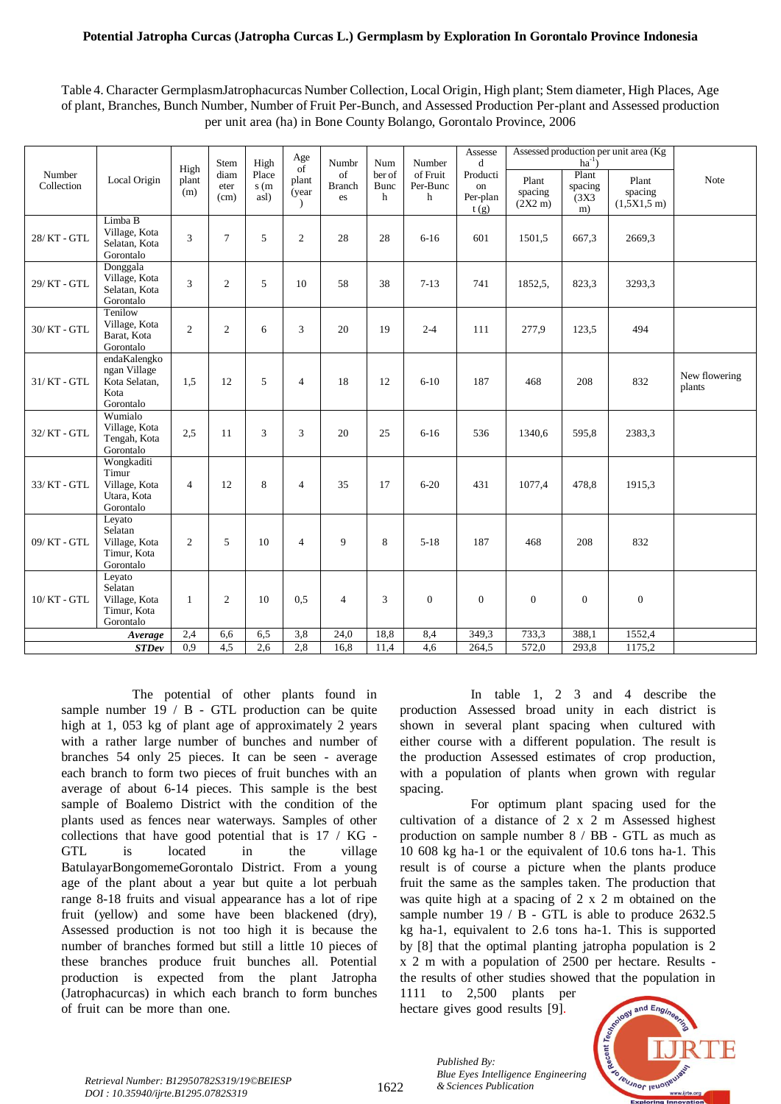## **Potential Jatropha Curcas (Jatropha Curcas L.) Germplasm by Exploration In Gorontalo Province Indonesia**

Table 4. Character GermplasmJatrophacurcas Number Collection, Local Origin, High plant; Stem diameter, High Places, Age of plant, Branches, Bunch Number, Number of Fruit Per-Bunch, and Assessed Production Per-plant and Assessed production per unit area (ha) in Bone County Bolango, Gorontalo Province, 2006

|                      |                                                                    |                      |                              |                               | Age                                            |                                    |                            |                                     | Assesse                                 |                                       |                                              | Assessed production per unit area (Kg) |                         |
|----------------------|--------------------------------------------------------------------|----------------------|------------------------------|-------------------------------|------------------------------------------------|------------------------------------|----------------------------|-------------------------------------|-----------------------------------------|---------------------------------------|----------------------------------------------|----------------------------------------|-------------------------|
| Number<br>Collection | Local Origin                                                       | High<br>plant<br>(m) | Stem<br>diam<br>eter<br>(cm) | High<br>Place<br>s(m)<br>asl) | $\overline{of}$<br>plant<br>(year<br>$\lambda$ | Numbr<br>of<br><b>Branch</b><br>es | Num<br>ber of<br>Bunc<br>h | Number<br>of Fruit<br>Per-Bunc<br>h | d<br>Producti<br>on<br>Per-plan<br>t(g) | Plant<br>spacing<br>$(2X2 \text{ m})$ | $ha^{-1}$<br>Plant<br>spacing<br>(3X3)<br>m) | Plant<br>spacing<br>(1,5X1,5m)         | Note                    |
| 28/KT-GTL            | Limba B<br>Village, Kota<br>Selatan, Kota<br>Gorontalo             | 3                    | $\tau$                       | 5                             | $\mathbf{2}$                                   | 28                                 | 28                         | $6 - 16$                            | 601                                     | 1501,5                                | 667,3                                        | 2669,3                                 |                         |
| 29/KT-GTL            | Donggala<br>Village, Kota<br>Selatan, Kota<br>Gorontalo            | 3                    | $\overline{c}$               | 5                             | 10                                             | 58                                 | 38                         | $7-13$                              | 741                                     | 1852,5,                               | 823,3                                        | 3293,3                                 |                         |
| 30/KT-GTL            | Tenilow<br>Village, Kota<br>Barat, Kota<br>Gorontalo               | $\overline{c}$       | $\overline{2}$               | 6                             | 3                                              | 20                                 | 19                         | $2 - 4$                             | 111                                     | 277,9                                 | 123,5                                        | 494                                    |                         |
| 31/KT-GTL            | endaKalengko<br>ngan Village<br>Kota Selatan,<br>Kota<br>Gorontalo | 1.5                  | 12                           | 5                             | $\overline{4}$                                 | 18                                 | 12                         | $6-10$                              | 187                                     | 468                                   | 208                                          | 832                                    | New flowering<br>plants |
| 32/ KT - GTL         | Wumialo<br>Village, Kota<br>Tengah, Kota<br>Gorontalo              | 2.5                  | 11                           | 3                             | 3                                              | 20                                 | 25                         | $6 - 16$                            | 536                                     | 1340,6                                | 595,8                                        | 2383,3                                 |                         |
| 33/ KT - GTL         | Wongkaditi<br>Timur<br>Village, Kota<br>Utara, Kota<br>Gorontalo   | $\overline{4}$       | 12                           | 8                             | $\overline{4}$                                 | 35                                 | 17                         | $6 - 20$                            | 431                                     | 1077.4                                | 478,8                                        | 1915,3                                 |                         |
| 09/KT-GTL            | Leyato<br>Selatan<br>Village, Kota<br>Timur, Kota<br>Gorontalo     | $\overline{2}$       | 5                            | 10                            | $\overline{4}$                                 | 9                                  | 8                          | $5-18$                              | 187                                     | 468                                   | 208                                          | 832                                    |                         |
| $10/KT$ - $GTL$      | Leyato<br>Selatan<br>Village, Kota<br>Timur, Kota<br>Gorontalo     | 1                    | $\overline{c}$               | 10                            | 0,5                                            | $\overline{4}$                     | 3                          | $\overline{0}$                      | $\overline{0}$                          | $\boldsymbol{0}$                      | $\overline{0}$                               | $\boldsymbol{0}$                       |                         |
|                      | Average                                                            | 2,4                  | 6,6                          | 6,5                           | 3,8                                            | 24,0                               | 18,8                       | 8,4                                 | 349,3                                   | 733,3                                 | 388,1                                        | 1552,4                                 |                         |
|                      | <b>STDev</b>                                                       | 0,9                  | 4,5                          | 2,6                           | 2,8                                            | 16,8                               | 11,4                       | 4,6                                 | 264,5                                   | 572,0                                 | 293,8                                        | 1175,2                                 |                         |

The potential of other plants found in sample number  $19 / B$  - GTL production can be quite high at 1,  $053$  kg of plant age of approximately 2 years with a rather large number of bunches and number of branches 54 only 25 pieces. It can be seen - average each branch to form two pieces of fruit bunches with an average of about 6-14 pieces. This sample is the best sample of Boalemo District with the condition of the plants used as fences near waterways. Samples of other collections that have good potential that is  $17 / KG -$ GTL is located in the village BatulayarBongomemeGorontalo District. From a young age of the plant about a year but quite a lot perbuah range 8-18 fruits and visual appearance has a lot of ripe fruit (yellow) and some have been blackened (dry), Assessed production is not too high it is because the number of branches formed but still a little 10 pieces of these branches produce fruit bunches all. Potential production is expected from the plant Jatropha (Jatrophacurcas) in which each branch to form bunches of fruit can be more than one.

In table 1, 2 3 and 4 describe the production Assessed broad unity in each district is shown in several plant spacing when cultured with either course with a different population. The result is the production Assessed estimates of crop production, with a population of plants when grown with regular spacing.

For optimum plant spacing used for the cultivation of a distance of  $2 \times 2$  m Assessed highest production on sample number  $8 / BB - GTL$  as much as 10  $608$  kg ha-1 or the equivalent of 10.6 tons ha-1. This result is of course a picture when the plants produce fruit the same as the samples taken. The production that was quite high at a spacing of  $2 \times 2$  m obtained on the sample number  $19 / B$  - GTL is able to produce 2632.5 kg ha-1, equivalent to  $2.6$  tons ha-1. This is supported by  $[8]$  that the optimal planting jatropha population is 2  $x 2$  m with a population of 2500 per hectare. Results the results of other studies showed that the population in

1111 to  $2,500$  plants per hectare gives good results [9].



*& Sciences Publication Retrieval Number: B12950782S319/19©BEIESP DOI : 10.35940/ijrte.B1295.0782S319*

1622

*Published By: Blue Eyes Intelligence Engineering*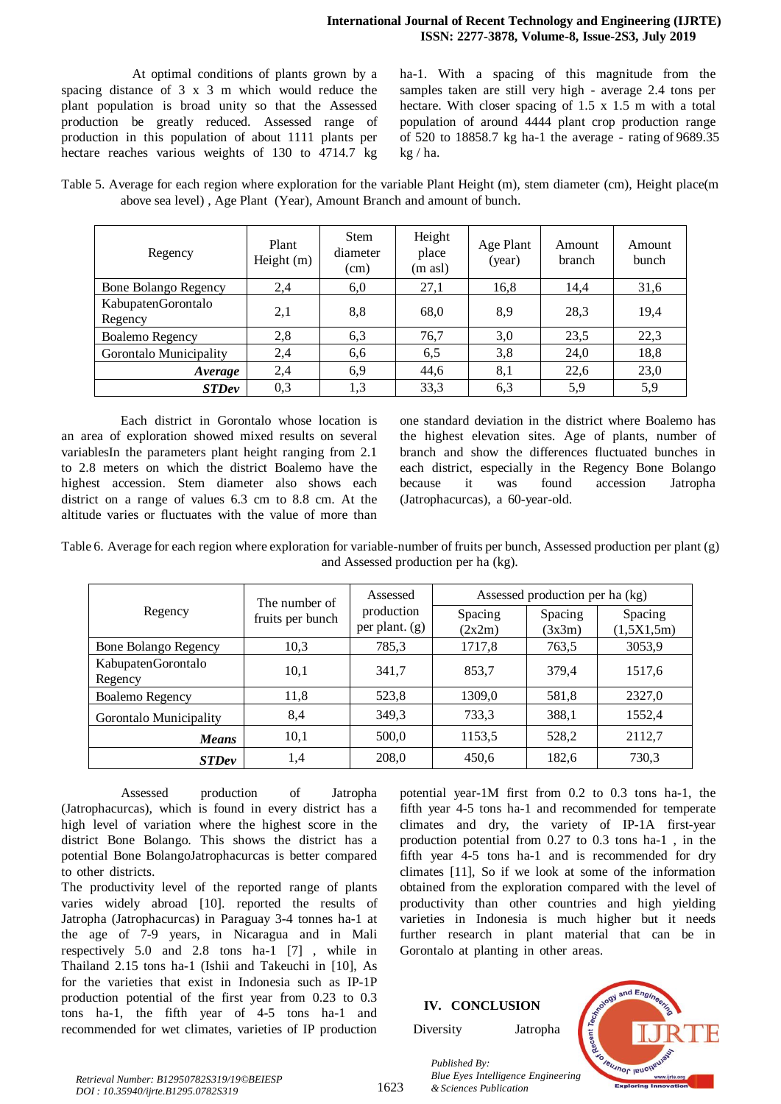At optimal conditions of plants grown by a spacing distance of  $3 \times 3$  m which would reduce the plant population is broad unity so that the Assessed production be greatly reduced. Assessed range of production in this population of about 1111 plants per hectare reaches various weights of 130 to  $\overline{4714.7}$  kg

ha-1. With a spacing of this magnitude from the samples taken are still very high - average 2.4 tons per hectare. With closer spacing of  $1.5 \times 1.5$  m with a total population of around 4444 plant crop production range of 520 to 18858.7 kg ha-1 the average - rating of 9689.35 kg / ha.

Table 5. Average for each region where exploration for the variable Plant Height (m), stem diameter (cm), Height place(m above sea level) , Age Plant (Year), Amount Branch and amount of bunch.

| Regency                       | Plant<br>Height $(m)$ | <b>Stem</b><br>diameter<br>(cm) | Height<br>place<br>(m asl) | Age Plant<br>(year) | Amount<br>branch | Amount<br>bunch |
|-------------------------------|-----------------------|---------------------------------|----------------------------|---------------------|------------------|-----------------|
| <b>Bone Bolango Regency</b>   | 2,4                   | 6,0                             | 27,1                       | 16,8                | 14,4             | 31,6            |
| KabupatenGorontalo<br>Regency | 2,1                   | 8,8                             | 68,0                       | 8,9                 | 28,3             | 19,4            |
| Boalemo Regency               | 2,8                   | 6,3                             | 76,7                       | 3,0                 | 23,5             | 22,3            |
| Gorontalo Municipality        | 2,4                   | 6,6                             | 6,5                        | 3,8                 | 24,0             | 18,8            |
| Average                       | 2,4                   | 6,9                             | 44,6                       | 8,1                 | 22,6             | 23,0            |
| <b>STDev</b>                  | 0,3                   | 1,3                             | 33,3                       | 6,3                 | 5,9              | 5,9             |

Each district in Gorontalo whose location is an area of exploration showed mixed results on several variablesIn the parameters plant height ranging from 2.1 to 2.8 meters on which the district Boalemo have the highest accession. Stem diameter also shows each district on a range of values  $6.3 \text{ cm}$  to  $8.8 \text{ cm}$ . At the altitude varies or fluctuates with the value of more than one standard deviation in the district where Boalemo has the highest elevation sites. Age of plants, number of branch and show the differences fluctuated bunches in each district, especially in the Regency Bone Bolango because it was found accession Jatropha (Jatrophacurcas), a  $60$ -year-old.

Table 6. Average for each region where exploration for variable-number of fruits per bunch, Assessed production per plant (g) and Assessed production per ha (kg).

|                               | The number of    | Assessed                       | Assessed production per ha (kg) |                   |                       |  |  |  |
|-------------------------------|------------------|--------------------------------|---------------------------------|-------------------|-----------------------|--|--|--|
| Regency                       | fruits per bunch | production<br>per plant. $(g)$ | Spacing<br>(2x2m)               | Spacing<br>(3x3m) | Spacing<br>(1,5X1,5m) |  |  |  |
| <b>Bone Bolango Regency</b>   | 10,3             | 785,3                          | 1717,8                          | 763,5             | 3053,9                |  |  |  |
| KabupatenGorontalo<br>Regency | 10,1             | 341,7                          | 853,7                           | 379,4             | 1517.6                |  |  |  |
| <b>Boalemo Regency</b>        | 11,8             | 523,8                          | 1309,0                          | 581,8             | 2327,0                |  |  |  |
| Gorontalo Municipality        | 8,4              | 349,3                          | 733,3                           | 388,1             | 1552,4                |  |  |  |
| <b>Means</b>                  | 10,1             | 500,0                          | 1153,5                          | 528,2             | 2112,7                |  |  |  |
| <b>STDev</b>                  | 1,4              | 208,0                          | 450.6                           | 182,6             | 730,3                 |  |  |  |

Assessed production of Jatropha (Jatrophacurcas), which is found in every district has a high level of variation where the highest score in the district Bone Bolango. This shows the district has a potential Bone BolangoJatrophacurcas is better compared to other districts.

The productivity level of the reported range of plants varies widely abroad [10]. reported the results of Jatropha (Jatrophacurcas) in Paraguay 3-4 tonnes ha-1 at the age of 7-9 years, in Nicaragua and in Mali respectively  $5.0$  and  $2.8$  tons ha-1  $[7]$ , while in Thailand 2.15 tons ha-1 (Ishii and Takeuchi in [10], As for the varieties that exist in Indonesia such as IP-1P production potential of the first year from  $0.23$  to  $0.3$ tons ha-1, the fifth year of  $4-5$  tons ha-1 and recommended for wet climates, varieties of IP production

potential year-1M first from  $0.2$  to  $0.3$  tons ha-1, the fifth year  $4-5$  tons ha-1 and recommended for temperate climates and dry, the variety of IP-1A first-year production potential from  $0.27$  to  $0.3$  tons ha-1, in the fifth year  $4-5$  tons ha-1 and is recommended for dry climates  $[11]$ , So if we look at some of the information obtained from the exploration compared with the level of productivity than other countries and high yielding varieties in Indonesia is much higher but it needs further research in plant material that can be in Gorontalo at planting in other areas.

## **IV. CONCLUSION**

*& Sciences Publication* 

*Published By:*

Diversity Jatropha